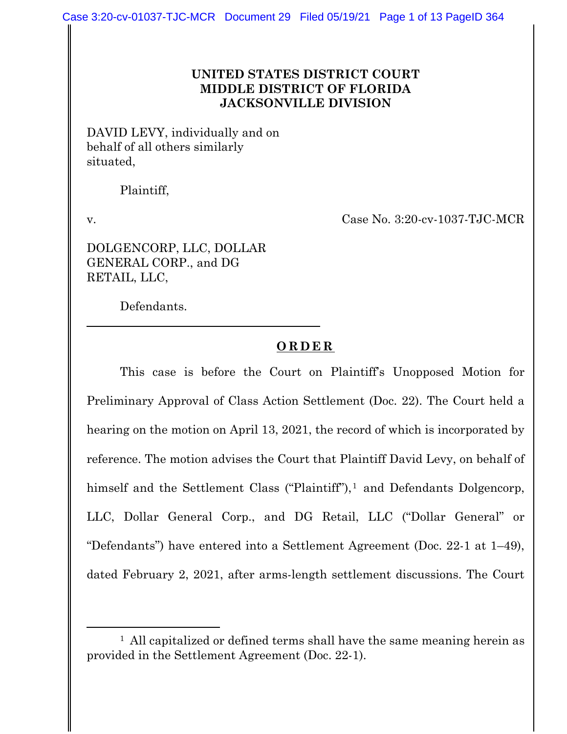## **UNITED STATES DISTRICT COURT MIDDLE DISTRICT OF FLORIDA JACKSONVILLE DIVISION**

DAVID LEVY, individually and on behalf of all others similarly situated,

Plaintiff,

v. Case No. 3:20-cv-1037-TJC-MCR

DOLGENCORP, LLC, DOLLAR GENERAL CORP., and DG RETAIL, LLC,

Defendants.

## **ORDER**

This case is before the Court on Plaintiff's Unopposed Motion for Preliminary Approval of Class Action Settlement (Doc. 22). The Court held a hearing on the motion on April 13, 2021, the record of which is incorporated by reference. The motion advises the Court that Plaintiff David Levy, on behalf of himself and the Settlement Class ("Plaintiff"), $<sup>1</sup>$  and Defendants Dolgencorp,</sup> LLC, Dollar General Corp., and DG Retail, LLC ("Dollar General" or "Defendants") have entered into a Settlement Agreement (Doc. 22-1 at 1–49), dated February 2, 2021, after arms-length settlement discussions. The Court

<sup>&</sup>lt;sup>1</sup> All capitalized or defined terms shall have the same meaning herein as provided in the Settlement Agreement (Doc. 22-1).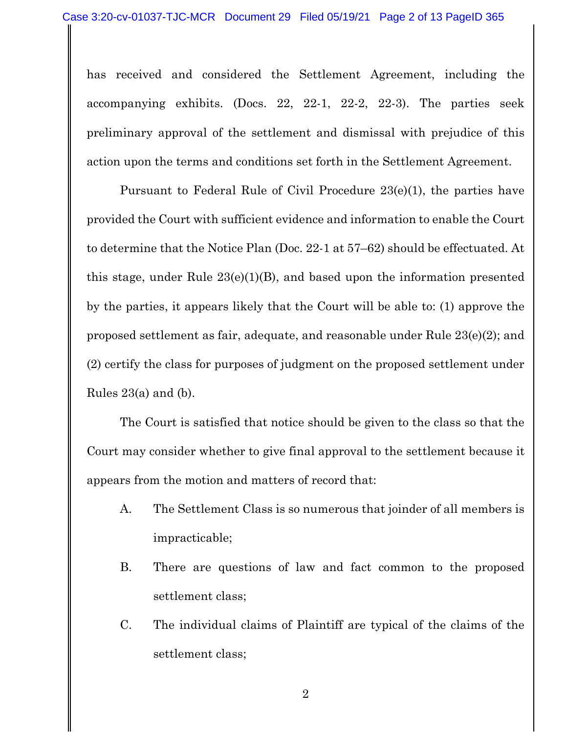has received and considered the Settlement Agreement, including the accompanying exhibits. (Docs. 22, 22-1, 22-2, 22-3). The parties seek preliminary approval of the settlement and dismissal with prejudice of this action upon the terms and conditions set forth in the Settlement Agreement.

Pursuant to Federal Rule of Civil Procedure 23(e)(1), the parties have provided the Court with sufficient evidence and information to enable the Court to determine that the Notice Plan (Doc. 22-1 at 57–62) should be effectuated. At this stage, under Rule  $23(e)(1)(B)$ , and based upon the information presented by the parties, it appears likely that the Court will be able to: (1) approve the proposed settlement as fair, adequate, and reasonable under Rule 23(e)(2); and (2) certify the class for purposes of judgment on the proposed settlement under Rules  $23(a)$  and (b).

The Court is satisfied that notice should be given to the class so that the Court may consider whether to give final approval to the settlement because it appears from the motion and matters of record that:

- A. The Settlement Class is so numerous that joinder of all members is impracticable;
- B. There are questions of law and fact common to the proposed settlement class;
- C. The individual claims of Plaintiff are typical of the claims of the settlement class;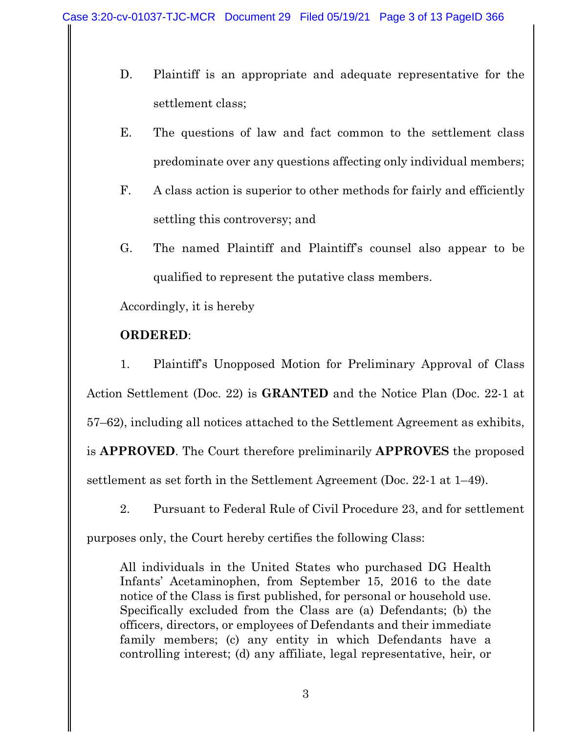- D. Plaintiff is an appropriate and adequate representative for the settlement class;
- E. The questions of law and fact common to the settlement class predominate over any questions affecting only individual members;
- F. A class action is superior to other methods for fairly and efficiently settling this controversy; and
- G. The named Plaintiff and Plaintiff's counsel also appear to be qualified to represent the putative class members.

Accordingly, it is hereby

## **ORDERED**:

1. Plaintiff's Unopposed Motion for Preliminary Approval of Class Action Settlement (Doc. 22) is **GRANTED** and the Notice Plan (Doc. 22-1 at 57–62), including all notices attached to the Settlement Agreement as exhibits, is **APPROVED**. The Court therefore preliminarily **APPROVES** the proposed settlement as set forth in the Settlement Agreement (Doc. 22-1 at 1–49).

2. Pursuant to Federal Rule of Civil Procedure 23, and for settlement

purposes only, the Court hereby certifies the following Class:

All individuals in the United States who purchased DG Health Infants' Acetaminophen, from September 15, 2016 to the date notice of the Class is first published, for personal or household use. Specifically excluded from the Class are (a) Defendants; (b) the officers, directors, or employees of Defendants and their immediate family members; (c) any entity in which Defendants have a controlling interest; (d) any affiliate, legal representative, heir, or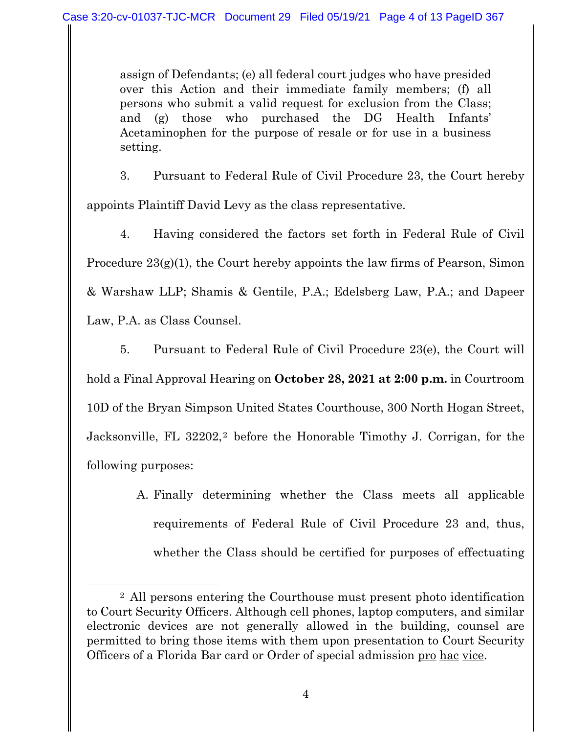assign of Defendants; (e) all federal court judges who have presided over this Action and their immediate family members; (f) all persons who submit a valid request for exclusion from the Class; and (g) those who purchased the DG Health Infants' Acetaminophen for the purpose of resale or for use in a business setting.

3. Pursuant to Federal Rule of Civil Procedure 23, the Court hereby appoints Plaintiff David Levy as the class representative.

4. Having considered the factors set forth in Federal Rule of Civil Procedure 23(g)(1), the Court hereby appoints the law firms of Pearson, Simon & Warshaw LLP; Shamis & Gentile, P.A.; Edelsberg Law, P.A.; and Dapeer Law, P.A. as Class Counsel.

5. Pursuant to Federal Rule of Civil Procedure 23(e), the Court will hold a Final Approval Hearing on **October 28, 2021 at 2:00 p.m.** in Courtroom 10D of the Bryan Simpson United States Courthouse, 300 North Hogan Street, Jacksonville, FL 32202,<sup>2</sup> before the Honorable Timothy J. Corrigan, for the following purposes:

> A. Finally determining whether the Class meets all applicable requirements of Federal Rule of Civil Procedure 23 and, thus, whether the Class should be certified for purposes of effectuating

<sup>2</sup> All persons entering the Courthouse must present photo identification to Court Security Officers. Although cell phones, laptop computers, and similar electronic devices are not generally allowed in the building, counsel are permitted to bring those items with them upon presentation to Court Security Officers of a Florida Bar card or Order of special admission pro hac vice.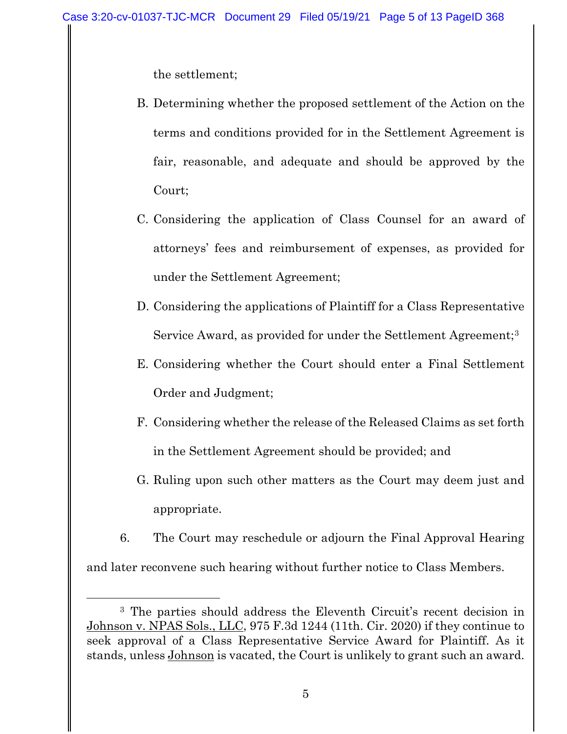the settlement;

- B. Determining whether the proposed settlement of the Action on the terms and conditions provided for in the Settlement Agreement is fair, reasonable, and adequate and should be approved by the Court;
- C. Considering the application of Class Counsel for an award of attorneys' fees and reimbursement of expenses, as provided for under the Settlement Agreement;
- D. Considering the applications of Plaintiff for a Class Representative Service Award, as provided for under the Settlement Agreement;<sup>3</sup>
- E. Considering whether the Court should enter a Final Settlement Order and Judgment;
- F. Considering whether the release of the Released Claims as set forth in the Settlement Agreement should be provided; and
- G. Ruling upon such other matters as the Court may deem just and appropriate.
- 6. The Court may reschedule or adjourn the Final Approval Hearing and later reconvene such hearing without further notice to Class Members.

<sup>3</sup> The parties should address the Eleventh Circuit's recent decision in Johnson v. NPAS Sols., LLC, 975 F.3d 1244 (11th. Cir. 2020) if they continue to seek approval of a Class Representative Service Award for Plaintiff. As it stands, unless Johnson is vacated, the Court is unlikely to grant such an award.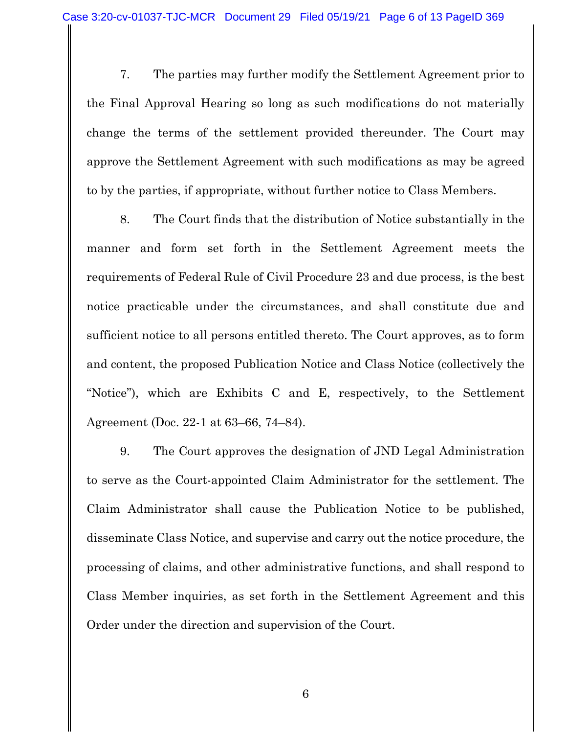7. The parties may further modify the Settlement Agreement prior to the Final Approval Hearing so long as such modifications do not materially change the terms of the settlement provided thereunder. The Court may approve the Settlement Agreement with such modifications as may be agreed to by the parties, if appropriate, without further notice to Class Members.

8. The Court finds that the distribution of Notice substantially in the manner and form set forth in the Settlement Agreement meets the requirements of Federal Rule of Civil Procedure 23 and due process, is the best notice practicable under the circumstances, and shall constitute due and sufficient notice to all persons entitled thereto. The Court approves, as to form and content, the proposed Publication Notice and Class Notice (collectively the "Notice"), which are Exhibits C and E, respectively, to the Settlement Agreement (Doc. 22-1 at 63–66, 74–84).

9. The Court approves the designation of JND Legal Administration to serve as the Court-appointed Claim Administrator for the settlement. The Claim Administrator shall cause the Publication Notice to be published, disseminate Class Notice, and supervise and carry out the notice procedure, the processing of claims, and other administrative functions, and shall respond to Class Member inquiries, as set forth in the Settlement Agreement and this Order under the direction and supervision of the Court.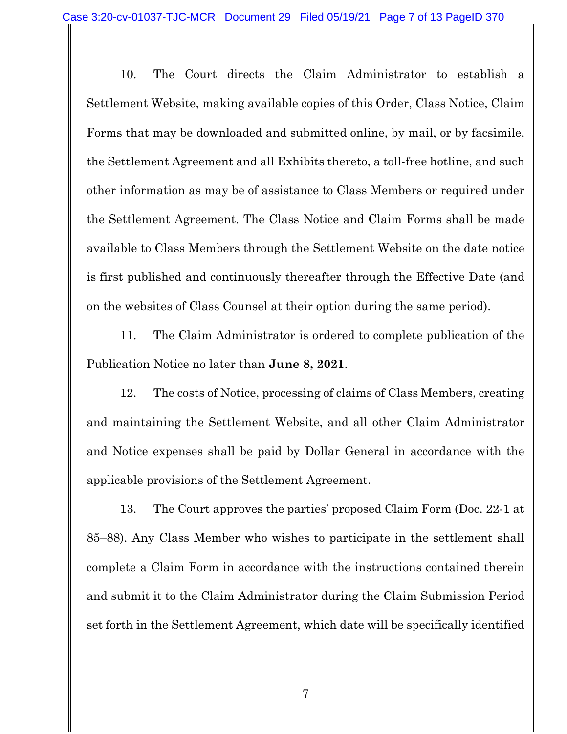10. The Court directs the Claim Administrator to establish a Settlement Website, making available copies of this Order, Class Notice, Claim Forms that may be downloaded and submitted online, by mail, or by facsimile, the Settlement Agreement and all Exhibits thereto, a toll-free hotline, and such other information as may be of assistance to Class Members or required under the Settlement Agreement. The Class Notice and Claim Forms shall be made available to Class Members through the Settlement Website on the date notice is first published and continuously thereafter through the Effective Date (and on the websites of Class Counsel at their option during the same period).

11. The Claim Administrator is ordered to complete publication of the Publication Notice no later than **June 8, 2021**.

12. The costs of Notice, processing of claims of Class Members, creating and maintaining the Settlement Website, and all other Claim Administrator and Notice expenses shall be paid by Dollar General in accordance with the applicable provisions of the Settlement Agreement.

13. The Court approves the parties' proposed Claim Form (Doc. 22-1 at 85–88). Any Class Member who wishes to participate in the settlement shall complete a Claim Form in accordance with the instructions contained therein and submit it to the Claim Administrator during the Claim Submission Period set forth in the Settlement Agreement, which date will be specifically identified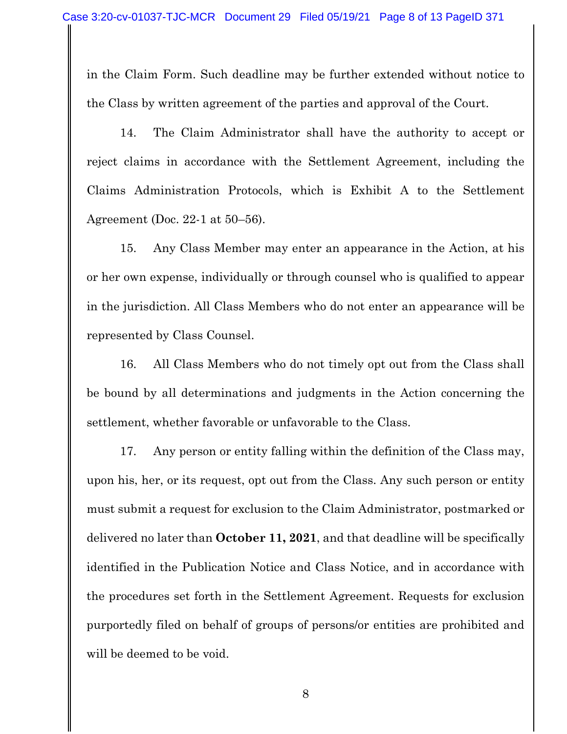in the Claim Form. Such deadline may be further extended without notice to the Class by written agreement of the parties and approval of the Court.

14. The Claim Administrator shall have the authority to accept or reject claims in accordance with the Settlement Agreement, including the Claims Administration Protocols, which is Exhibit A to the Settlement Agreement (Doc. 22-1 at 50–56).

15. Any Class Member may enter an appearance in the Action, at his or her own expense, individually or through counsel who is qualified to appear in the jurisdiction. All Class Members who do not enter an appearance will be represented by Class Counsel.

16. All Class Members who do not timely opt out from the Class shall be bound by all determinations and judgments in the Action concerning the settlement, whether favorable or unfavorable to the Class.

17. Any person or entity falling within the definition of the Class may, upon his, her, or its request, opt out from the Class. Any such person or entity must submit a request for exclusion to the Claim Administrator, postmarked or delivered no later than **October 11, 2021**, and that deadline will be specifically identified in the Publication Notice and Class Notice, and in accordance with the procedures set forth in the Settlement Agreement. Requests for exclusion purportedly filed on behalf of groups of persons/or entities are prohibited and will be deemed to be void.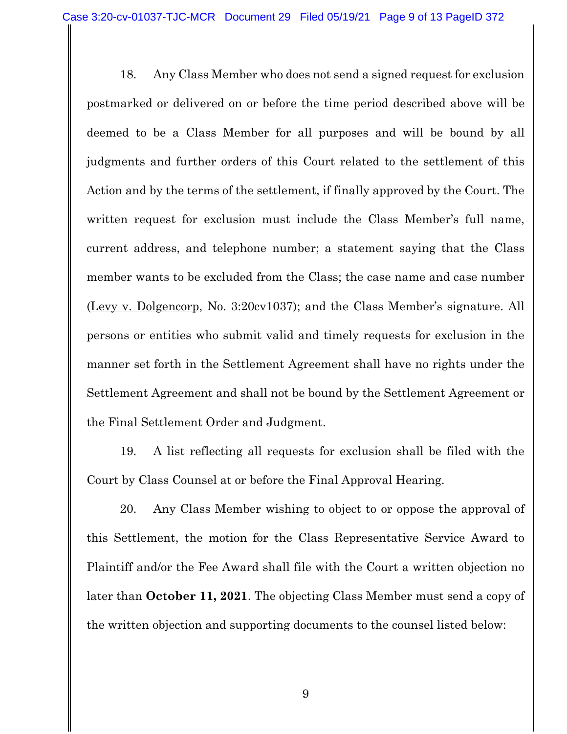18. Any Class Member who does not send a signed request for exclusion postmarked or delivered on or before the time period described above will be deemed to be a Class Member for all purposes and will be bound by all judgments and further orders of this Court related to the settlement of this Action and by the terms of the settlement, if finally approved by the Court. The written request for exclusion must include the Class Member's full name, current address, and telephone number; a statement saying that the Class member wants to be excluded from the Class; the case name and case number (Levy v. Dolgencorp, No. 3:20cv1037); and the Class Member's signature. All persons or entities who submit valid and timely requests for exclusion in the manner set forth in the Settlement Agreement shall have no rights under the Settlement Agreement and shall not be bound by the Settlement Agreement or the Final Settlement Order and Judgment.

19. A list reflecting all requests for exclusion shall be filed with the Court by Class Counsel at or before the Final Approval Hearing.

20. Any Class Member wishing to object to or oppose the approval of this Settlement, the motion for the Class Representative Service Award to Plaintiff and/or the Fee Award shall file with the Court a written objection no later than **October 11, 2021**. The objecting Class Member must send a copy of the written objection and supporting documents to the counsel listed below: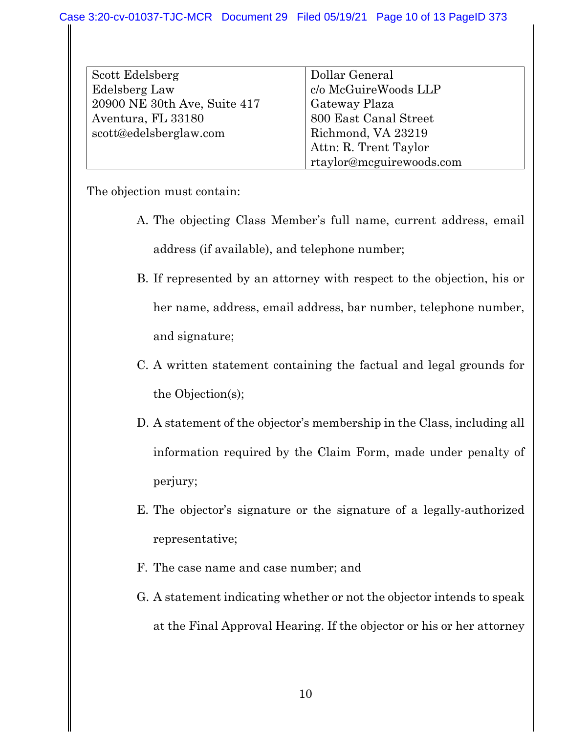| Scott Edelsberg              | Dollar General           |
|------------------------------|--------------------------|
| Edelsberg Law                | c/o McGuireWoods LLP     |
| 20900 NE 30th Ave, Suite 417 | Gateway Plaza            |
| Aventura, FL 33180           | 800 East Canal Street    |
| scott@edelsberglaw.com       | Richmond, VA 23219       |
|                              | Attn: R. Trent Taylor    |
|                              | rtaylor@mcguirewoods.com |

The objection must contain:

- A. The objecting Class Member's full name, current address, email address (if available), and telephone number;
- B. If represented by an attorney with respect to the objection, his or her name, address, email address, bar number, telephone number, and signature;
- C. A written statement containing the factual and legal grounds for the Objection(s);
- D. A statement of the objector's membership in the Class, including all information required by the Claim Form, made under penalty of perjury;
- E. The objector's signature or the signature of a legally-authorized representative;
- F. The case name and case number; and
- G. A statement indicating whether or not the objector intends to speak at the Final Approval Hearing. If the objector or his or her attorney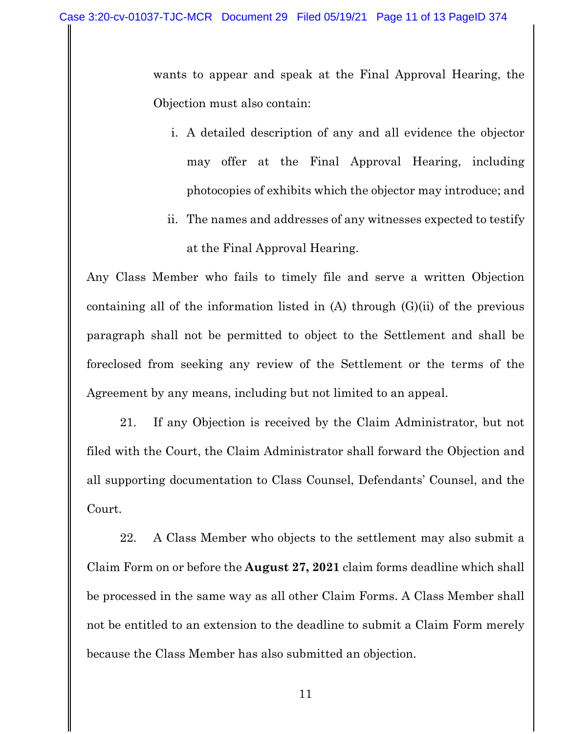wants to appear and speak at the Final Approval Hearing, the Objection must also contain:

- i. A detailed description of any and all evidence the objector may offer at the Final Approval Hearing, including photocopies of exhibits which the objector may introduce; and
- ii. The names and addresses of any witnesses expected to testify at the Final Approval Hearing.

Any Class Member who fails to timely file and serve a written Objection containing all of the information listed in  $(A)$  through  $(G)(ii)$  of the previous paragraph shall not be permitted to object to the Settlement and shall be foreclosed from seeking any review of the Settlement or the terms of the Agreement by any means, including but not limited to an appeal.

21. If any Objection is received by the Claim Administrator, but not filed with the Court, the Claim Administrator shall forward the Objection and all supporting documentation to Class Counsel, Defendants' Counsel, and the Court.

22. A Class Member who objects to the settlement may also submit a Claim Form on or before the **August 27, 2021** claim forms deadline which shall be processed in the same way as all other Claim Forms. A Class Member shall not be entitled to an extension to the deadline to submit a Claim Form merely because the Class Member has also submitted an objection.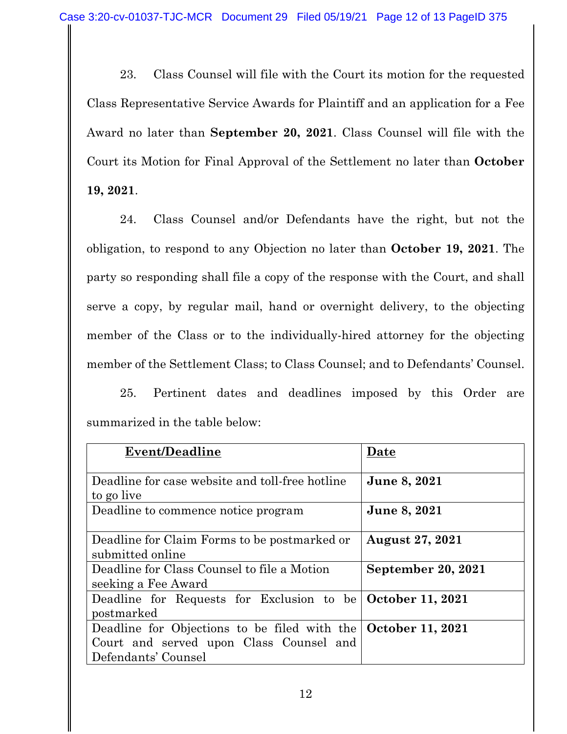23. Class Counsel will file with the Court its motion for the requested Class Representative Service Awards for Plaintiff and an application for a Fee Award no later than **September 20, 2021**. Class Counsel will file with the Court its Motion for Final Approval of the Settlement no later than **October 19, 2021**.

24. Class Counsel and/or Defendants have the right, but not the obligation, to respond to any Objection no later than **October 19, 2021**. The party so responding shall file a copy of the response with the Court, and shall serve a copy, by regular mail, hand or overnight delivery, to the objecting member of the Class or to the individually-hired attorney for the objecting member of the Settlement Class; to Class Counsel; and to Defendants' Counsel.

25. Pertinent dates and deadlines imposed by this Order are summarized in the table below:

| Event/Deadline                                                       | Date                   |
|----------------------------------------------------------------------|------------------------|
|                                                                      |                        |
| Deadline for case website and toll-free hotline                      | June 8, 2021           |
| to go live                                                           |                        |
| Deadline to commence notice program                                  | June 8, 2021           |
|                                                                      |                        |
| Deadline for Claim Forms to be postmarked or                         | <b>August 27, 2021</b> |
| submitted online                                                     |                        |
| Deadline for Class Counsel to file a Motion                          | September 20, 2021     |
| seeking a Fee Award                                                  |                        |
| Deadline for Requests for Exclusion to be October 11, 2021           |                        |
| postmarked                                                           |                        |
| Deadline for Objections to be filed with the <b>October 11, 2021</b> |                        |
| Court and served upon Class Counsel and                              |                        |
| Defendants' Counsel                                                  |                        |